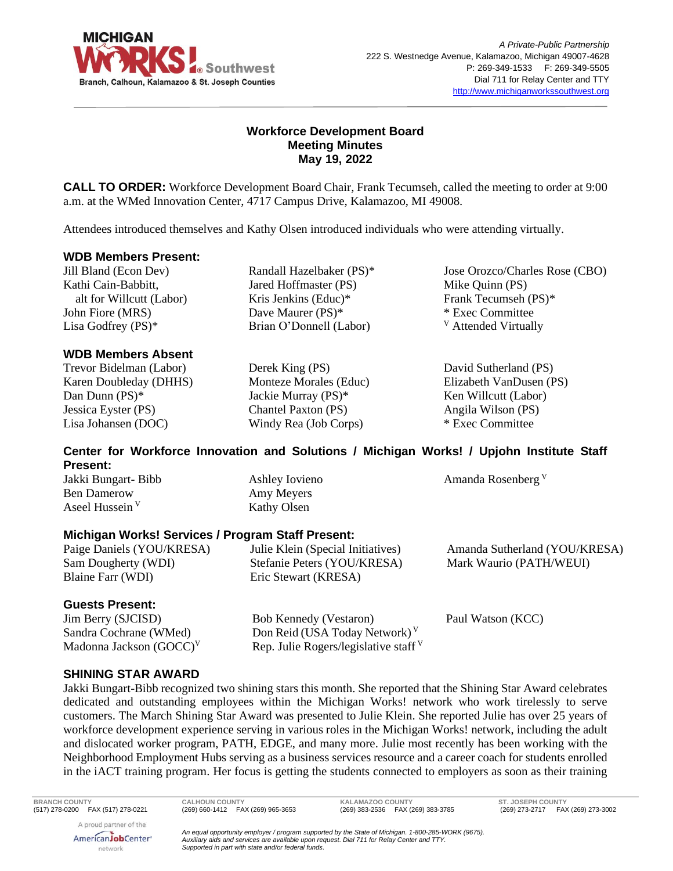

#### **Workforce Development Board Meeting Minutes May 19, 2022**

**CALL TO ORDER:** Workforce Development Board Chair, Frank Tecumseh, called the meeting to order at 9:00 a.m. at the WMed Innovation Center, 4717 Campus Drive, Kalamazoo, MI 49008.

Attendees introduced themselves and Kathy Olsen introduced individuals who were attending virtually.

#### **WDB Members Present:**

Jill Bland (Econ Dev) Kathi Cain-Babbitt, alt for Willcutt (Labor) John Fiore (MRS) Lisa Godfrey (PS)\*

#### **WDB Members Absent**

Trevor Bidelman (Labor) Karen Doubleday (DHHS) Dan Dunn (PS)\* Jessica Eyster (PS) Lisa Johansen (DOC)

Randall Hazelbaker (PS)\* Jared Hoffmaster (PS) Kris Jenkins (Educ)\* Dave Maurer (PS)\* Brian O'Donnell (Labor)

Derek King (PS) Monteze Morales (Educ) Jackie Murray (PS)\* Chantel Paxton (PS) Windy Rea (Job Corps)

Jose Orozco/Charles Rose (CBO) Mike Quinn (PS) Frank Tecumseh (PS)\* \* Exec Committee <sup>V</sup> Attended Virtually

David Sutherland (PS) Elizabeth VanDusen (PS) Ken Willcutt (Labor) Angila Wilson (PS) \* Exec Committee

**Center for Workforce Innovation and Solutions / Michigan Works! / Upjohn Institute Staff Present:** Amanda Rosenberg <sup>V</sup>

Jakki Bungart- Bibb Ben Damerow Aseel Hussein <sup>V</sup>

Ashley Iovieno Amy Meyers Kathy Olsen

## **Michigan Works! Services / Program Staff Present:**

| Paige Daniels (YOU/KRESA) | Julie Klein (Special Initiatives) | Amanda Sutherland (YOU/KRESA) |
|---------------------------|-----------------------------------|-------------------------------|
| Sam Dougherty (WDI)       | Stefanie Peters (YOU/KRESA)       | Mark Waurio (PATH/WEUI)       |
| Blaine Farr (WDI)         | Eric Stewart (KRESA)              |                               |
|                           |                                   |                               |

#### **Guests Present:**

Jim Berry (SJCISD) Sandra Cochrane (WMed) Madonna Jackson (GOCC)<sup>V</sup> Bob Kennedy (Vestaron) Don Reid (USA Today Network) <sup>V</sup> Rep. Julie Rogers/legislative staff <sup>V</sup>

Paul Watson (KCC)

#### **SHINING STAR AWARD**

Jakki Bungart-Bibb recognized two shining stars this month. She reported that the Shining Star Award celebrates dedicated and outstanding employees within the Michigan Works! network who work tirelessly to serve customers. The March Shining Star Award was presented to Julie Klein. She reported Julie has over 25 years of workforce development experience serving in various roles in the Michigan Works! network, including the adult and dislocated worker program, PATH, EDGE, and many more. Julie most recently has been working with the Neighborhood Employment Hubs serving as a business services resource and a career coach for students enrolled in the iACT training program. Her focus is getting the students connected to employers as soon as their training

**BRANCH COUNTY CALHOUN COUNTY KALAMAZOO COUNTY ST. JOSEPH COUNTY**

(269) 273-2717 FAX (269) 273-3002

A proud partner of the AmericanJobCenter\* network

*An equal opportunity employer / program supported by the State of Michigan. 1-800-285-WORK (9675). Auxiliary aids and services are available upon request. Dial 711 for Relay Center and TTY. Supported in part with state and/or federal funds.*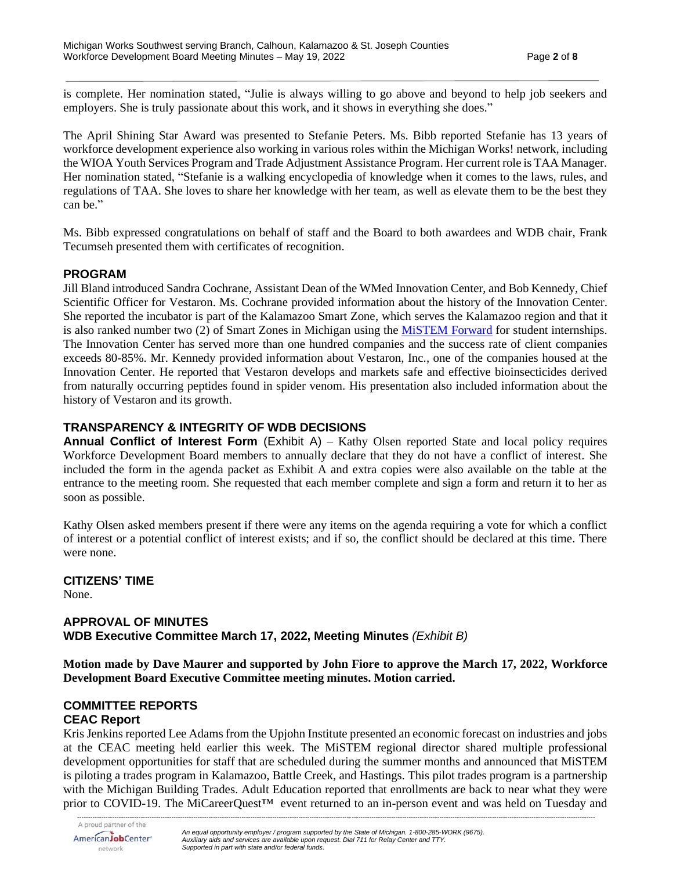is complete. Her nomination stated, "Julie is always willing to go above and beyond to help job seekers and employers. She is truly passionate about this work, and it shows in everything she does."

The April Shining Star Award was presented to Stefanie Peters. Ms. Bibb reported Stefanie has 13 years of workforce development experience also working in various roles within the Michigan Works! network, including the WIOA Youth Services Program and Trade Adjustment Assistance Program. Her current role is TAA Manager. Her nomination stated, "Stefanie is a walking encyclopedia of knowledge when it comes to the laws, rules, and regulations of TAA. She loves to share her knowledge with her team, as well as elevate them to be the best they can be."

Ms. Bibb expressed congratulations on behalf of staff and the Board to both awardees and WDB chair, Frank Tecumseh presented them with certificates of recognition.

#### **PROGRAM**

Jill Bland introduced Sandra Cochrane, Assistant Dean of the WMed Innovation Center, and Bob Kennedy, Chief Scientific Officer for Vestaron. Ms. Cochrane provided information about the history of the Innovation Center. She reported the incubator is part of the Kalamazoo Smart Zone, which serves the Kalamazoo region and that it is also ranked number two (2) of Smart Zones in Michigan using the [MiSTEM Forward](https://annarborusa.org/stem-forward/) for student internships. The Innovation Center has served more than one hundred companies and the success rate of client companies exceeds 80-85%. Mr. Kennedy provided information about Vestaron, Inc., one of the companies housed at the Innovation Center. He reported that Vestaron develops and markets safe and effective bioinsecticides derived from naturally occurring peptides found in spider venom. His presentation also included information about the history of Vestaron and its growth.

# **TRANSPARENCY & INTEGRITY OF WDB DECISIONS**

**Annual Conflict of Interest Form** (Exhibit A) – Kathy Olsen reported State and local policy requires Workforce Development Board members to annually declare that they do not have a conflict of interest. She included the form in the agenda packet as Exhibit A and extra copies were also available on the table at the entrance to the meeting room. She requested that each member complete and sign a form and return it to her as soon as possible.

Kathy Olsen asked members present if there were any items on the agenda requiring a vote for which a conflict of interest or a potential conflict of interest exists; and if so, the conflict should be declared at this time. There were none.

#### **CITIZENS' TIME**

None.

# **APPROVAL OF MINUTES WDB Executive Committee March 17, 2022, Meeting Minutes** *(Exhibit B)*

**Motion made by Dave Maurer and supported by John Fiore to approve the March 17, 2022, Workforce Development Board Executive Committee meeting minutes. Motion carried.**

# **COMMITTEE REPORTS**

# **CEAC Report**

Kris Jenkins reported Lee Adams from the Upjohn Institute presented an economic forecast on industries and jobs at the CEAC meeting held earlier this week. The MiSTEM regional director shared multiple professional development opportunities for staff that are scheduled during the summer months and announced that MiSTEM is piloting a trades program in Kalamazoo, Battle Creek, and Hastings. This pilot trades program is a partnership with the Michigan Building Trades. Adult Education reported that enrollments are back to near what they were prior to COVID-19. The MiCareerQuest<sup>™</sup> event returned to an in-person event and was held on Tuesday and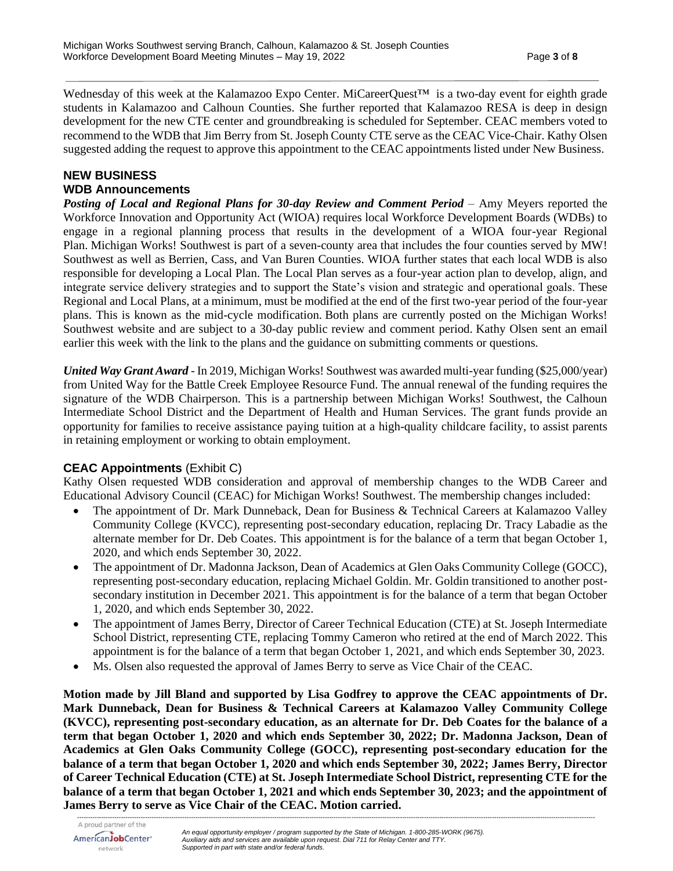Wednesday of this week at the Kalamazoo Expo Center. MiCareerQuest<sup>™</sup> is a two-day event for eighth grade students in Kalamazoo and Calhoun Counties. She further reported that Kalamazoo RESA is deep in design development for the new CTE center and groundbreaking is scheduled for September. CEAC members voted to recommend to the WDB that Jim Berry from St. Joseph County CTE serve as the CEAC Vice-Chair. Kathy Olsen suggested adding the request to approve this appointment to the CEAC appointments listed under New Business.

# **NEW BUSINESS WDB Announcements**

*Posting of Local and Regional Plans for 30-day Review and Comment Period* – Amy Meyers reported the Workforce Innovation and Opportunity Act (WIOA) requires local Workforce Development Boards (WDBs) to engage in a regional planning process that results in the development of a WIOA four-year Regional Plan. Michigan Works! Southwest is part of a seven-county area that includes the four counties served by MW! Southwest as well as Berrien, Cass, and Van Buren Counties. WIOA further states that each local WDB is also responsible for developing a Local Plan. The Local Plan serves as a four-year action plan to develop, align, and integrate service delivery strategies and to support the State's vision and strategic and operational goals. These Regional and Local Plans, at a minimum, must be modified at the end of the first two-year period of the four-year plans. This is known as the mid-cycle modification. Both plans are currently posted on the Michigan Works! Southwest website and are subject to a 30-day public review and comment period. Kathy Olsen sent an email earlier this week with the link to the plans and the guidance on submitting comments or questions.

*United Way Grant Award* - In 2019, Michigan Works! Southwest was awarded multi-year funding (\$25,000/year) from United Way for the Battle Creek Employee Resource Fund. The annual renewal of the funding requires the signature of the WDB Chairperson. This is a partnership between Michigan Works! Southwest, the Calhoun Intermediate School District and the Department of Health and Human Services. The grant funds provide an opportunity for families to receive assistance paying tuition at a high-quality childcare facility, to assist parents in retaining employment or working to obtain employment.

# **CEAC Appointments** (Exhibit C)

Kathy Olsen requested WDB consideration and approval of membership changes to the WDB Career and Educational Advisory Council (CEAC) for Michigan Works! Southwest. The membership changes included:

- The appointment of Dr. Mark Dunneback, Dean for Business & Technical Careers at Kalamazoo Valley Community College (KVCC), representing post-secondary education, replacing Dr. Tracy Labadie as the alternate member for Dr. Deb Coates. This appointment is for the balance of a term that began October 1, 2020, and which ends September 30, 2022.
- The appointment of Dr. Madonna Jackson, Dean of Academics at Glen Oaks Community College (GOCC), representing post-secondary education, replacing Michael Goldin. Mr. Goldin transitioned to another postsecondary institution in December 2021. This appointment is for the balance of a term that began October 1, 2020, and which ends September 30, 2022.
- The appointment of James Berry, Director of Career Technical Education (CTE) at St. Joseph Intermediate School District, representing CTE, replacing Tommy Cameron who retired at the end of March 2022. This appointment is for the balance of a term that began October 1, 2021, and which ends September 30, 2023.
- Ms. Olsen also requested the approval of James Berry to serve as Vice Chair of the CEAC.

**Motion made by Jill Bland and supported by Lisa Godfrey to approve the CEAC appointments of Dr. Mark Dunneback, Dean for Business & Technical Careers at Kalamazoo Valley Community College (KVCC), representing post-secondary education, as an alternate for Dr. Deb Coates for the balance of a term that began October 1, 2020 and which ends September 30, 2022; Dr. Madonna Jackson, Dean of Academics at Glen Oaks Community College (GOCC), representing post-secondary education for the balance of a term that began October 1, 2020 and which ends September 30, 2022; James Berry, Director of Career Technical Education (CTE) at St. Joseph Intermediate School District, representing CTE for the balance of a term that began October 1, 2021 and which ends September 30, 2023; and the appointment of James Berry to serve as Vice Chair of the CEAC. Motion carried.**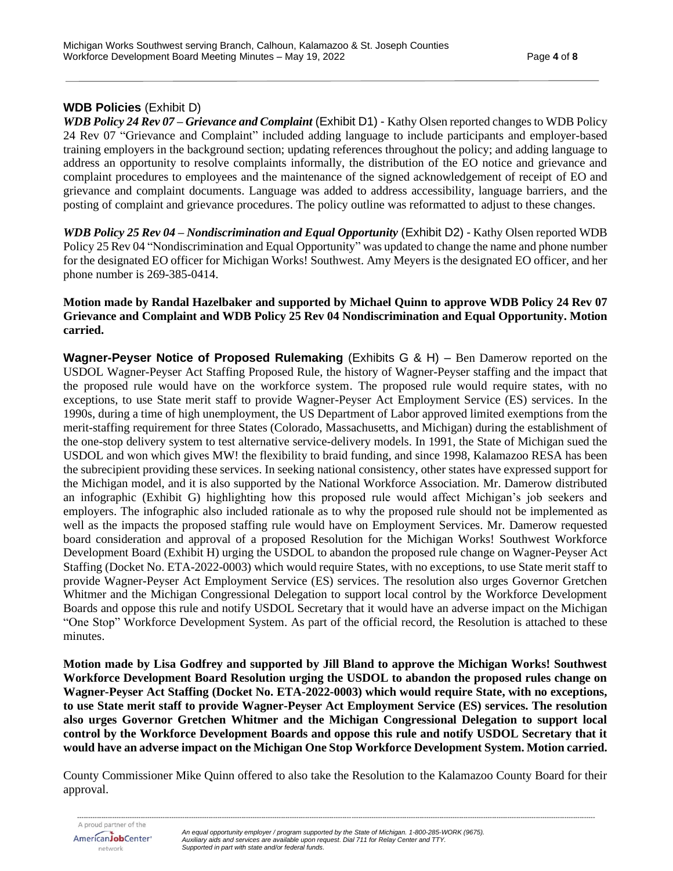# **WDB Policies** (Exhibit D)

*WDB Policy 24 Rev 07 – Grievance and Complaint* (Exhibit D1) - Kathy Olsen reported changes to WDB Policy 24 Rev 07 "Grievance and Complaint" included adding language to include participants and employer-based training employers in the background section; updating references throughout the policy; and adding language to address an opportunity to resolve complaints informally, the distribution of the EO notice and grievance and complaint procedures to employees and the maintenance of the signed acknowledgement of receipt of EO and grievance and complaint documents. Language was added to address accessibility, language barriers, and the posting of complaint and grievance procedures. The policy outline was reformatted to adjust to these changes.

*WDB Policy 25 Rev 04 – Nondiscrimination and Equal Opportunity* (Exhibit D2) - Kathy Olsen reported WDB Policy 25 Rev 04 "Nondiscrimination and Equal Opportunity" was updated to change the name and phone number for the designated EO officer for Michigan Works! Southwest. Amy Meyers is the designated EO officer, and her phone number is 269-385-0414.

#### **Motion made by Randal Hazelbaker and supported by Michael Quinn to approve WDB Policy 24 Rev 07 Grievance and Complaint and WDB Policy 25 Rev 04 Nondiscrimination and Equal Opportunity. Motion carried.**

**Wagner-Peyser Notice of Proposed Rulemaking** (Exhibits G & H) – Ben Damerow reported on the USDOL Wagner-Peyser Act Staffing Proposed Rule, the history of Wagner-Peyser staffing and the impact that the proposed rule would have on the workforce system. The proposed rule would require states, with no exceptions, to use State merit staff to provide Wagner-Peyser Act Employment Service (ES) services. In the 1990s, during a time of high unemployment, the US Department of Labor approved limited exemptions from the merit-staffing requirement for three States (Colorado, Massachusetts, and Michigan) during the establishment of the one-stop delivery system to test alternative service-delivery models. In 1991, the State of Michigan sued the USDOL and won which gives MW! the flexibility to braid funding, and since 1998, Kalamazoo RESA has been the subrecipient providing these services. In seeking national consistency, other states have expressed support for the Michigan model, and it is also supported by the National Workforce Association. Mr. Damerow distributed an infographic (Exhibit G) highlighting how this proposed rule would affect Michigan's job seekers and employers. The infographic also included rationale as to why the proposed rule should not be implemented as well as the impacts the proposed staffing rule would have on Employment Services. Mr. Damerow requested board consideration and approval of a proposed Resolution for the Michigan Works! Southwest Workforce Development Board (Exhibit H) urging the USDOL to abandon the proposed rule change on Wagner-Peyser Act Staffing (Docket No. ETA-2022-0003) which would require States, with no exceptions, to use State merit staff to provide Wagner-Peyser Act Employment Service (ES) services. The resolution also urges Governor Gretchen Whitmer and the Michigan Congressional Delegation to support local control by the Workforce Development Boards and oppose this rule and notify USDOL Secretary that it would have an adverse impact on the Michigan "One Stop" Workforce Development System. As part of the official record, the Resolution is attached to these minutes.

**Motion made by Lisa Godfrey and supported by Jill Bland to approve the Michigan Works! Southwest Workforce Development Board Resolution urging the USDOL to abandon the proposed rules change on Wagner-Peyser Act Staffing (Docket No. ETA-2022-0003) which would require State, with no exceptions, to use State merit staff to provide Wagner-Peyser Act Employment Service (ES) services. The resolution also urges Governor Gretchen Whitmer and the Michigan Congressional Delegation to support local control by the Workforce Development Boards and oppose this rule and notify USDOL Secretary that it would have an adverse impact on the Michigan One Stop Workforce Development System. Motion carried.** 

County Commissioner Mike Quinn offered to also take the Resolution to the Kalamazoo County Board for their approval.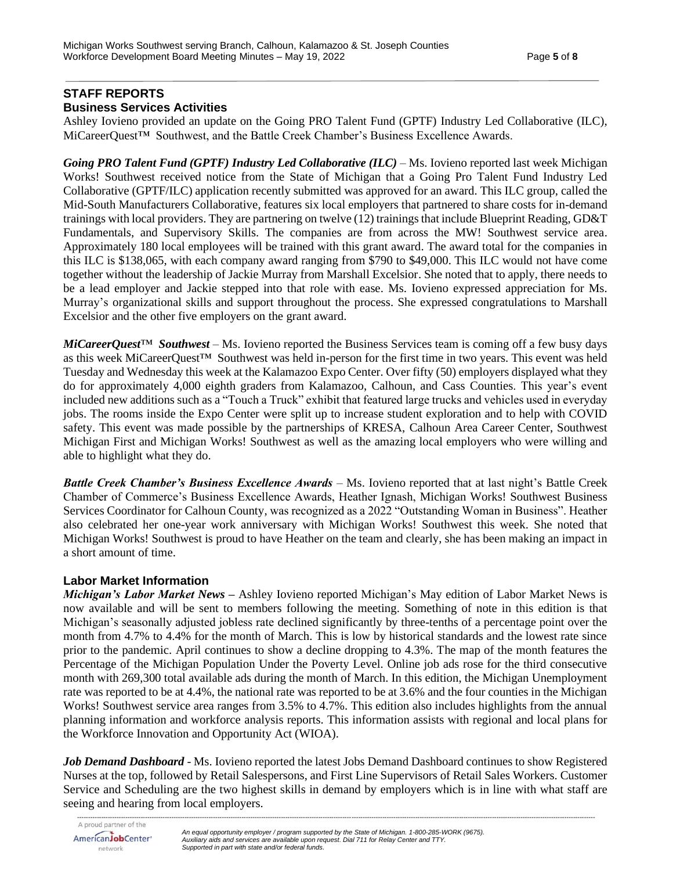# **STAFF REPORTS Business Services Activities**

Ashley Iovieno provided an update on the Going PRO Talent Fund (GPTF) Industry Led Collaborative (ILC), MiCareerQuest™ Southwest, and the Battle Creek Chamber's Business Excellence Awards.

*Going PRO Talent Fund (GPTF) Industry Led Collaborative (ILC)* – Ms. Iovieno reported last week Michigan Works! Southwest received notice from the State of Michigan that a Going Pro Talent Fund Industry Led Collaborative (GPTF/ILC) application recently submitted was approved for an award. This ILC group, called the Mid-South Manufacturers Collaborative, features six local employers that partnered to share costs for in-demand trainings with local providers. They are partnering on twelve (12) trainings that include Blueprint Reading, GD&T Fundamentals, and Supervisory Skills. The companies are from across the MW! Southwest service area. Approximately 180 local employees will be trained with this grant award. The award total for the companies in this ILC is \$138,065, with each company award ranging from \$790 to \$49,000. This ILC would not have come together without the leadership of Jackie Murray from Marshall Excelsior. She noted that to apply, there needs to be a lead employer and Jackie stepped into that role with ease. Ms. Iovieno expressed appreciation for Ms. Murray's organizational skills and support throughout the process. She expressed congratulations to Marshall Excelsior and the other five employers on the grant award.

*MiCareerQuest*™ *Southwest* – Ms. Iovieno reported the Business Services team is coming off a few busy days as this week MiCareerQuest™ Southwest was held in-person for the first time in two years. This event was held Tuesday and Wednesday this week at the Kalamazoo Expo Center. Over fifty (50) employers displayed what they do for approximately 4,000 eighth graders from Kalamazoo, Calhoun, and Cass Counties. This year's event included new additions such as a "Touch a Truck" exhibit that featured large trucks and vehicles used in everyday jobs. The rooms inside the Expo Center were split up to increase student exploration and to help with COVID safety. This event was made possible by the partnerships of KRESA, Calhoun Area Career Center, Southwest Michigan First and Michigan Works! Southwest as well as the amazing local employers who were willing and able to highlight what they do.

*Battle Creek Chamber's Business Excellence Awards* – Ms. Iovieno reported that at last night's Battle Creek Chamber of Commerce's Business Excellence Awards, Heather Ignash, Michigan Works! Southwest Business Services Coordinator for Calhoun County, was recognized as a 2022 "Outstanding Woman in Business". Heather also celebrated her one-year work anniversary with Michigan Works! Southwest this week. She noted that Michigan Works! Southwest is proud to have Heather on the team and clearly, she has been making an impact in a short amount of time.

# **Labor Market Information**

*Michigan's Labor Market News* **–** Ashley Iovieno reported Michigan's May edition of Labor Market News is now available and will be sent to members following the meeting. Something of note in this edition is that Michigan's seasonally adjusted jobless rate declined significantly by three-tenths of a percentage point over the month from 4.7% to 4.4% for the month of March. This is low by historical standards and the lowest rate since prior to the pandemic. April continues to show a decline dropping to 4.3%. The map of the month features the Percentage of the Michigan Population Under the Poverty Level. Online job ads rose for the third consecutive month with 269,300 total available ads during the month of March. In this edition, the Michigan Unemployment rate was reported to be at 4.4%, the national rate was reported to be at 3.6% and the four counties in the Michigan Works! Southwest service area ranges from 3.5% to 4.7%. This edition also includes highlights from the annual planning information and workforce analysis reports. This information assists with regional and local plans for the Workforce Innovation and Opportunity Act (WIOA).

*Job Demand Dashboard* - Ms. Iovieno reported the latest Jobs Demand Dashboard continues to show Registered Nurses at the top, followed by Retail Salespersons, and First Line Supervisors of Retail Sales Workers. Customer Service and Scheduling are the two highest skills in demand by employers which is in line with what staff are seeing and hearing from local employers.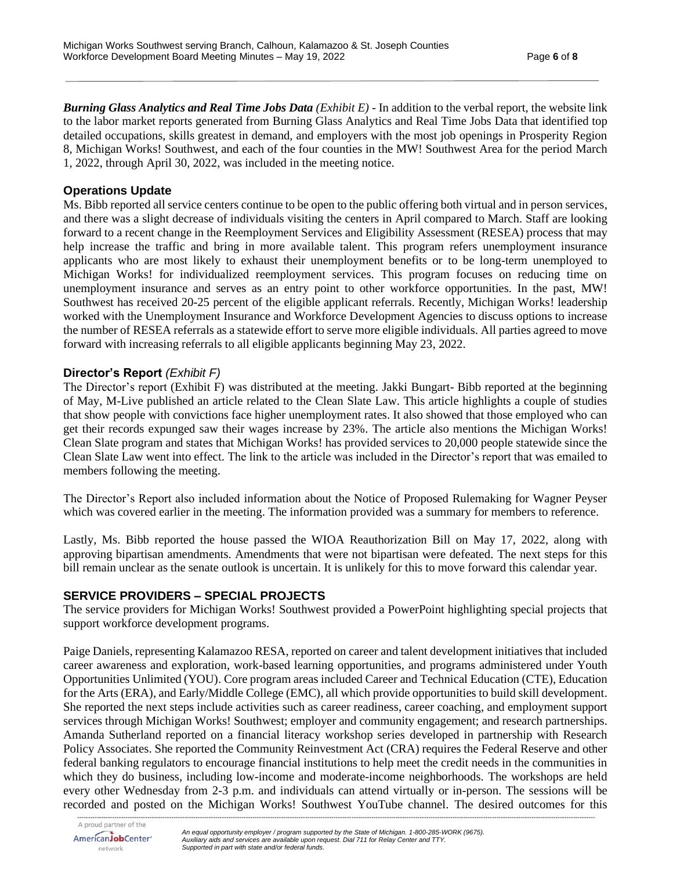*Burning Glass Analytics and Real Time Jobs Data (Exhibit E) -* In addition to the verbal report, the website link to the labor market reports generated from Burning Glass Analytics and Real Time Jobs Data that identified top detailed occupations, skills greatest in demand, and employers with the most job openings in Prosperity Region 8, Michigan Works! Southwest, and each of the four counties in the MW! Southwest Area for the period March 1, 2022, through April 30, 2022, was included in the meeting notice.

### **Operations Update**

Ms. Bibb reported all service centers continue to be open to the public offering both virtual and in person services, and there was a slight decrease of individuals visiting the centers in April compared to March. Staff are looking forward to a recent change in the Reemployment Services and Eligibility Assessment (RESEA) process that may help increase the traffic and bring in more available talent. This program refers unemployment insurance applicants who are most likely to exhaust their unemployment benefits or to be long-term unemployed to Michigan Works! for individualized reemployment services. This program focuses on reducing time on unemployment insurance and serves as an entry point to other workforce opportunities. In the past, MW! Southwest has received 20-25 percent of the eligible applicant referrals. Recently, Michigan Works! leadership worked with the Unemployment Insurance and Workforce Development Agencies to discuss options to increase the number of RESEA referrals as a statewide effort to serve more eligible individuals. All parties agreed to move forward with increasing referrals to all eligible applicants beginning May 23, 2022.

#### **Director's Report** *(Exhibit F)*

The Director's report (Exhibit F) was distributed at the meeting. Jakki Bungart- Bibb reported at the beginning of May, M-Live published an article related to the Clean Slate Law. This article highlights a couple of studies that show people with convictions face higher unemployment rates. It also showed that those employed who can get their records expunged saw their wages increase by 23%. The article also mentions the Michigan Works! Clean Slate program and states that Michigan Works! has provided services to 20,000 people statewide since the Clean Slate Law went into effect. The link to the article was included in the Director's report that was emailed to members following the meeting.

The Director's Report also included information about the Notice of Proposed Rulemaking for Wagner Peyser which was covered earlier in the meeting. The information provided was a summary for members to reference.

Lastly, Ms. Bibb reported the house passed the WIOA Reauthorization Bill on May 17, 2022, along with approving bipartisan amendments. Amendments that were not bipartisan were defeated. The next steps for this bill remain unclear as the senate outlook is uncertain. It is unlikely for this to move forward this calendar year.

#### **SERVICE PROVIDERS – SPECIAL PROJECTS**

The service providers for Michigan Works! Southwest provided a PowerPoint highlighting special projects that support workforce development programs.

Paige Daniels, representing Kalamazoo RESA, reported on career and talent development initiatives that included career awareness and exploration, work-based learning opportunities, and programs administered under Youth Opportunities Unlimited (YOU). Core program areas included Career and Technical Education (CTE), Education for the Arts (ERA), and Early/Middle College (EMC), all which provide opportunities to build skill development. She reported the next steps include activities such as career readiness, career coaching, and employment support services through Michigan Works! Southwest; employer and community engagement; and research partnerships. Amanda Sutherland reported on a financial literacy workshop series developed in partnership with Research Policy Associates. She reported the Community Reinvestment Act (CRA) requires the Federal Reserve and other federal banking regulators to encourage financial institutions to help meet the credit needs in the communities in which they do business, including low-income and moderate-income neighborhoods. The workshops are held every other Wednesday from 2-3 p.m. and individuals can attend virtually or in-person. The sessions will be recorded and posted on the Michigan Works! Southwest YouTube channel. The desired outcomes for this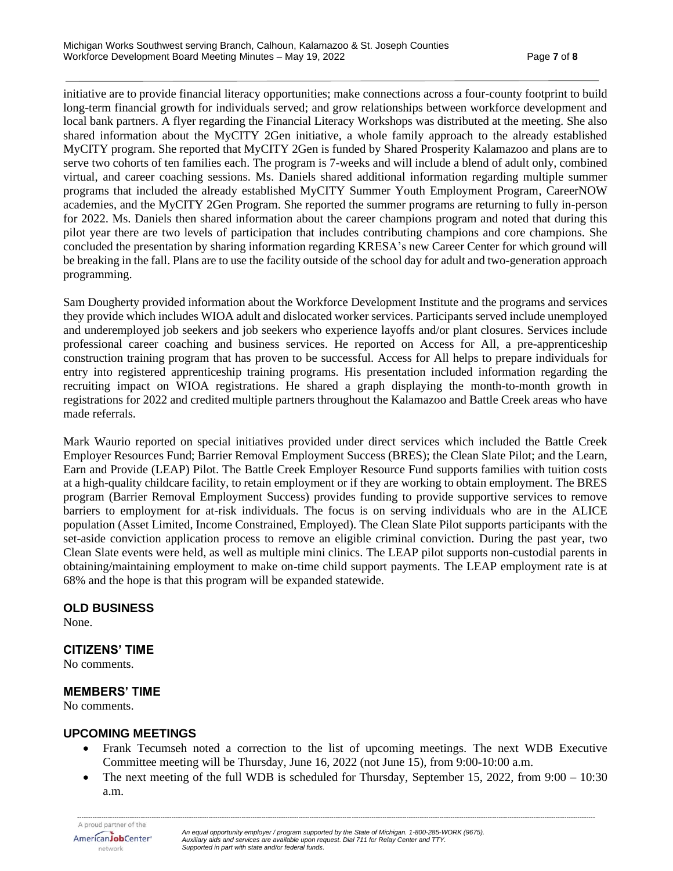initiative are to provide financial literacy opportunities; make connections across a four-county footprint to build long-term financial growth for individuals served; and grow relationships between workforce development and local bank partners. A flyer regarding the Financial Literacy Workshops was distributed at the meeting. She also shared information about the MyCITY 2Gen initiative, a whole family approach to the already established MyCITY program. She reported that MyCITY 2Gen is funded by Shared Prosperity Kalamazoo and plans are to serve two cohorts of ten families each. The program is 7-weeks and will include a blend of adult only, combined virtual, and career coaching sessions. Ms. Daniels shared additional information regarding multiple summer programs that included the already established MyCITY Summer Youth Employment Program, CareerNOW academies, and the MyCITY 2Gen Program. She reported the summer programs are returning to fully in-person for 2022. Ms. Daniels then shared information about the career champions program and noted that during this pilot year there are two levels of participation that includes contributing champions and core champions. She concluded the presentation by sharing information regarding KRESA's new Career Center for which ground will be breaking in the fall. Plans are to use the facility outside of the school day for adult and two-generation approach programming.

Sam Dougherty provided information about the Workforce Development Institute and the programs and services they provide which includes WIOA adult and dislocated worker services. Participants served include unemployed and underemployed job seekers and job seekers who experience layoffs and/or plant closures. Services include professional career coaching and business services. He reported on Access for All, a pre-apprenticeship construction training program that has proven to be successful. Access for All helps to prepare individuals for entry into registered apprenticeship training programs. His presentation included information regarding the recruiting impact on WIOA registrations. He shared a graph displaying the month-to-month growth in registrations for 2022 and credited multiple partners throughout the Kalamazoo and Battle Creek areas who have made referrals.

Mark Waurio reported on special initiatives provided under direct services which included the Battle Creek Employer Resources Fund; Barrier Removal Employment Success (BRES); the Clean Slate Pilot; and the Learn, Earn and Provide (LEAP) Pilot. The Battle Creek Employer Resource Fund supports families with tuition costs at a high-quality childcare facility, to retain employment or if they are working to obtain employment. The BRES program (Barrier Removal Employment Success) provides funding to provide supportive services to remove barriers to employment for at-risk individuals. The focus is on serving individuals who are in the ALICE population (Asset Limited, Income Constrained, Employed). The Clean Slate Pilot supports participants with the set-aside conviction application process to remove an eligible criminal conviction. During the past year, two Clean Slate events were held, as well as multiple mini clinics. The LEAP pilot supports non-custodial parents in obtaining/maintaining employment to make on-time child support payments. The LEAP employment rate is at 68% and the hope is that this program will be expanded statewide.

## **OLD BUSINESS**

None.

#### **CITIZENS' TIME**

No comments.

#### **MEMBERS' TIME**

No comments.

## **UPCOMING MEETINGS**

- Frank Tecumseh noted a correction to the list of upcoming meetings. The next WDB Executive Committee meeting will be Thursday, June 16, 2022 (not June 15), from 9:00-10:00 a.m.
- The next meeting of the full WDB is scheduled for Thursday, September 15, 2022, from  $9:00 10:30$ a.m.

AmericanJobCenter<sup>®</sup> network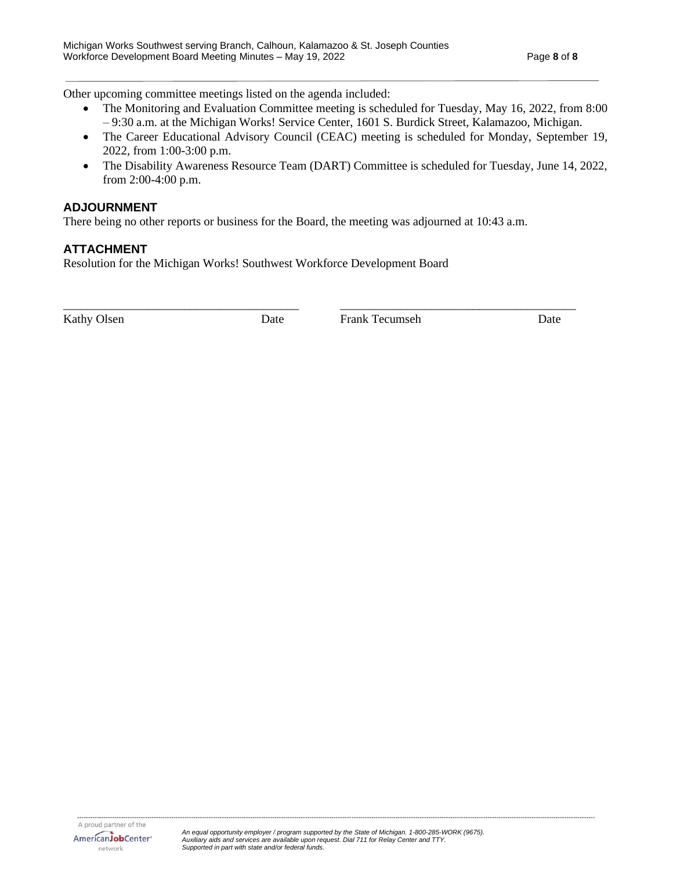Other upcoming committee meetings listed on the agenda included:

- The Monitoring and Evaluation Committee meeting is scheduled for Tuesday, May 16, 2022, from 8:00 – 9:30 a.m. at the Michigan Works! Service Center, 1601 S. Burdick Street, Kalamazoo, Michigan.
- The Career Educational Advisory Council (CEAC) meeting is scheduled for Monday, September 19, 2022, from 1:00-3:00 p.m.
- The Disability Awareness Resource Team (DART) Committee is scheduled for Tuesday, June 14, 2022, from 2:00-4:00 p.m.

#### **ADJOURNMENT**

There being no other reports or business for the Board, the meeting was adjourned at 10:43 a.m.

\_\_\_\_\_\_\_\_\_\_\_\_\_\_\_\_\_\_\_\_\_\_\_\_\_\_\_\_\_\_\_\_\_\_\_\_\_\_\_ \_\_\_\_\_\_\_\_\_\_\_\_\_\_\_\_\_\_\_\_\_\_\_\_\_\_\_\_\_\_\_\_\_\_\_\_\_\_\_

## **ATTACHMENT**

Resolution for the Michigan Works! Southwest Workforce Development Board

Kathy Olsen Date **Date** Frank Tecumseh Date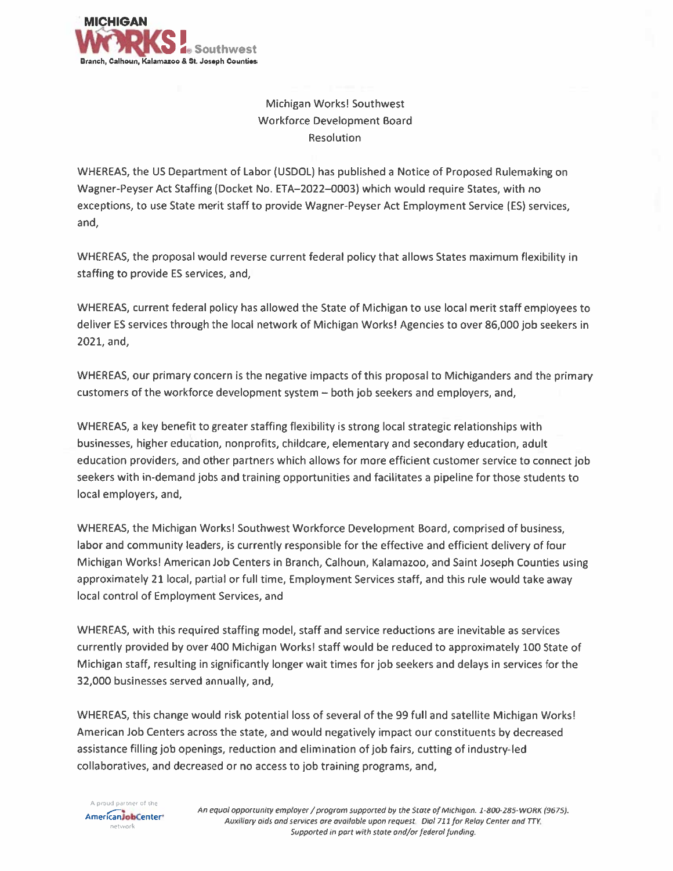

# Michigan Works! Southwest **Workforce Development Board Resolution**

WHEREAS, the US Department of Labor (USDOL) has published a Notice of Proposed Rulemaking on Wagner-Peyser Act Staffing (Docket No. ETA-2022-0003) which would require States, with no exceptions, to use State merit staff to provide Wagner-Peyser Act Employment Service (ES) services, and,

WHEREAS, the proposal would reverse current federal policy that allows States maximum flexibility in staffing to provide ES services, and,

WHEREAS, current federal policy has allowed the State of Michigan to use local merit staff employees to deliver ES services through the local network of Michigan Works! Agencies to over 86,000 job seekers in 2021, and,

WHEREAS, our primary concern is the negative impacts of this proposal to Michiganders and the primary customers of the workforce development system - both job seekers and employers, and,

WHEREAS, a key benefit to greater staffing flexibility is strong local strategic relationships with businesses, higher education, nonprofits, childcare, elementary and secondary education, adult education providers, and other partners which allows for more efficient customer service to connect job seekers with in-demand jobs and training opportunities and facilitates a pipeline for those students to local employers, and,

WHEREAS, the Michigan Works! Southwest Workforce Development Board, comprised of business, labor and community leaders, is currently responsible for the effective and efficient delivery of four Michigan Works! American Job Centers in Branch, Calhoun, Kalamazoo, and Saint Joseph Counties using approximately 21 local, partial or full time, Employment Services staff, and this rule would take away local control of Employment Services, and

WHEREAS, with this required staffing model, staff and service reductions are inevitable as services currently provided by over 400 Michigan Works! staff would be reduced to approximately 100 State of Michigan staff, resulting in significantly longer wait times for job seekers and delays in services for the 32,000 businesses served annually, and,

WHEREAS, this change would risk potential loss of several of the 99 full and satellite Michigan Works! American Job Centers across the state, and would negatively impact our constituents by decreased assistance filling job openings, reduction and elimination of job fairs, cutting of industry-led collaboratives, and decreased or no access to job training programs, and,

A proud partner of the AmericanJobCenter network

An equal opportunity employer / program supported by the State of Michigan. 1-800-285-WORK (9675). Auxiliary aids and services are available upon request. Dial 711 for Relay Center and TTY. Supported in part with state and/or federal funding.